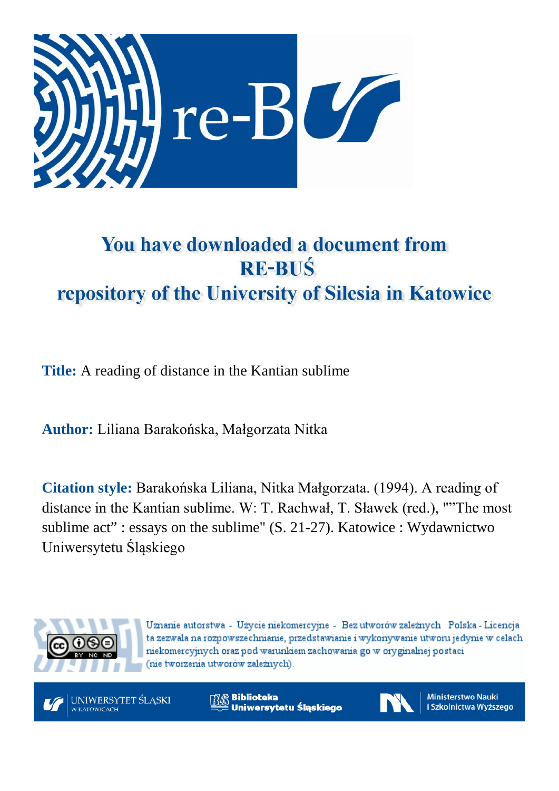

## You have downloaded a document from **RE-BUŚ** repository of the University of Silesia in Katowice

**Title:** A reading of distance in the Kantian sublime

**Author:** Liliana Barakońska, Małgorzata Nitka

**Citation style:** Barakońska Liliana, Nitka Małgorzata. (1994). A reading of distance in the Kantian sublime. W: T. Rachwał, T. Sławek (red.), ""The most sublime act" : essays on the sublime" (S. 21-27). Katowice : Wydawnictwo Uniwersytetu Śląskiego



Uznanie autorstwa - Użycie niekomercyjne - Bez utworów zależnych Polska - Licencja ta zezwala na rozpowszechnianie, przedstawianie i wykonywanie utworu jedynie w celach niekomercyjnych oraz pod warunkiem zachowania go w oryginalnej postaci (nie tworzenia utworów zależnych).



**Biblioteka** Uniwersytetu Śląskiego



**Ministerstwo Nauki** i Szkolnictwa Wyższego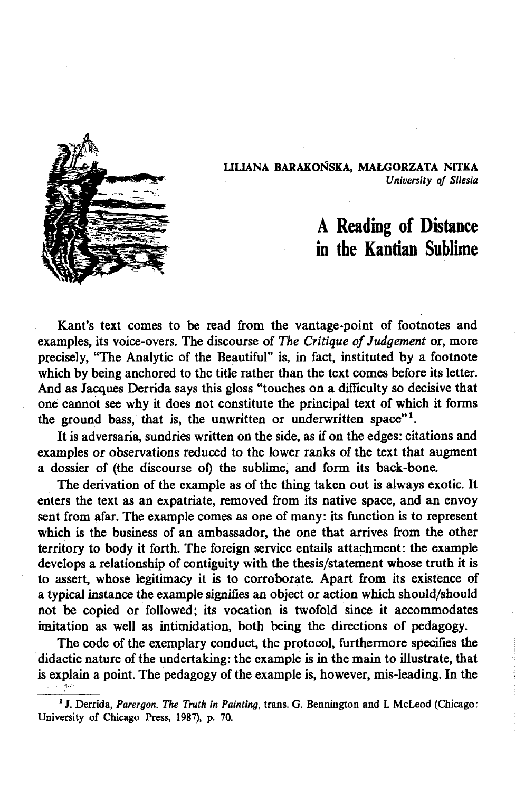

**LILIANA BARAKOŃSKA, MAŁGORZATA NITKA** *University of Silesia*

## A Reading of Distance in the Kantian Sublime

Kant's text comes to be read from the vantage-point of footnotes and examples, its voice-overs. The discourse of *The Critique of Judgement* or, more precisely, "The Analytic of the Beautiful" is, in fact, instituted by a footnote which by being anchored to the title rather than the text comes before its letter. And as Jacques Derrida says this gloss "touches on a difficulty so decisive that one cannot see why it does not constitute the principal text of which it forms the ground bass, that is, the unwritten or underwritten space"<sup>1</sup>.

It is adversaria, sundries written on the side, as if on the edges: citations and examples or observations reduced to the lower ranks of the text that augment a dossier of (the discourse of) the sublime, and form its back-bone.

The derivation of the example as of the thing taken out is always exotic. It enters the text as an expatriate, removed from its native space, and an envoy sent from afar. The example comes as one of many: its function is to represent which is the business of an ambassador, the one that arrives from the other territory to body it forth. The foreign service entails attachment: the example develops a relationship of contiguity with the thesis/statement whose truth it is to assert, whose legitimacy it is to corroborate. Apart from its existence of a typical instance the example signifies an object or action which should/should not be copied or followed; its vocation is twofold since it accommodates imitation as well as intimidation, both being the directions of pedagogy.

The code of the exemplary conduct, the protocol, furthermore specifies the didactic nature of the undertaking: the example is in the main to illustrate, that is explain a point. The pedagogy of the example is, however, mis-leading. In the

<sup>1</sup>J. Derrida, *Parergon. The Truth in Painting,* trans. G. Bennington and I. McLeod (Chicago: University of Chicago Press, 1987), p. 70.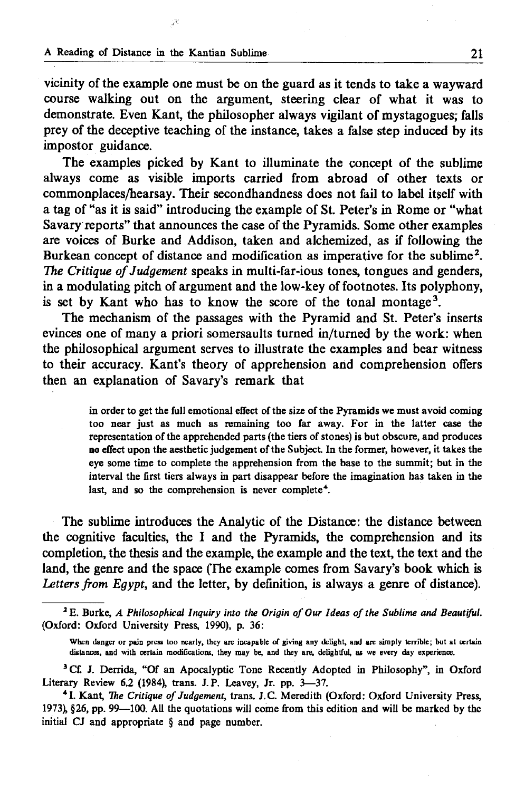vicinity of the example one must be on the guard as it tends to take a wayward course walking out on the argument, steering clear of what it was to demonstrate. Even Kant, the philosopher always vigilant of mystagogues, falls prey of the deceptive teaching of the instance, takes a false step induced by its impostor guidance.

The examples picked by Kant to illuminate the concept of the sublime always come as visible imports carried from abroad of other texts or commonplaces/hearsay. Their secondhandness does not fail to label itself with a tag of "as it is said" introducing the example of St. Peter's in Rome or "what Savary reports" that announces the case of the Pyramids. Some other examples are voices of Burke and Addison, taken and alchemized, as if following the Burkean concept of distance and modification as imperative for the sublime<sup>2</sup>. *The Critique of Judgement* speaks in multi-far-ious tones, tongues and genders, in a modulating pitch of argument and the low-key of footnotes. Its polyphony, is set by Kant who has to know the score of the tonal montage<sup>3</sup>.

The mechanism of the passages with the Pyramid and St. Peter's inserts evinces one of many a priori somersaults turned in/turned by the work: when the philosophical argument serves to illustrate the examples and bear witness to their accuracy. Kant's theory of apprehension and comprehension offers then an explanation of Savary's remark that

> in order to get the full emotional effect of the size of the Pyramids we must avoid coming too near just as much as remaining too far away. For in the latter case the representation of the apprehended parts (the tiers of stones) is but obscure, and produces **no** effect upon the aesthetic judgement of the Subject In the former, however, it takes the eye some time to complete the apprehension from the base to the summit; but in the interval the first tiers always in part disappear before the imagination has taken in the last, and so the comprehension is never complete<sup>4</sup>.

The sublime introduces the Analytic of the Distance: the distance between the cognitive faculties, the I and the Pyramids, the comprehension and its completion, the thesis and the example, the example and the text, the text and the land, the genre and the space (The example comes from Savary's book which is *Letters from Egypt,* and the letter, by definition, is always a genre of distance).

<sup>&</sup>lt;sup>2</sup> E. Burke, *A Philosophical Inquiry into the Origin of Our Ideas of the Sublime and Beautiful.* (Oxford: Oxford University Press, 1990), p. 36:

When danger or pain press loo nearly, they are incapable of giving any delight, and are simply terrible; but at certain distances, and with certain modifications, they may be, and they are, delightful, as we every day experience.

<sup>&</sup>lt;sup>3</sup> Cf. J. Derrida, "Of an Apocalyptic Tone Recently Adopted in Philosophy", in Oxford Literary Review 6.2 (1984), trans. J.P. Leavey, Jr. pp. 3—37.

<sup>41.</sup> Kant, *The Critique of Judgement,* trans. J.C. Meredith (Oxford: Oxford University Press, 1973), §26, pp. 99—100. All the quotations will come from this edition and will be marked by the initial CJ and appropriate § and page number.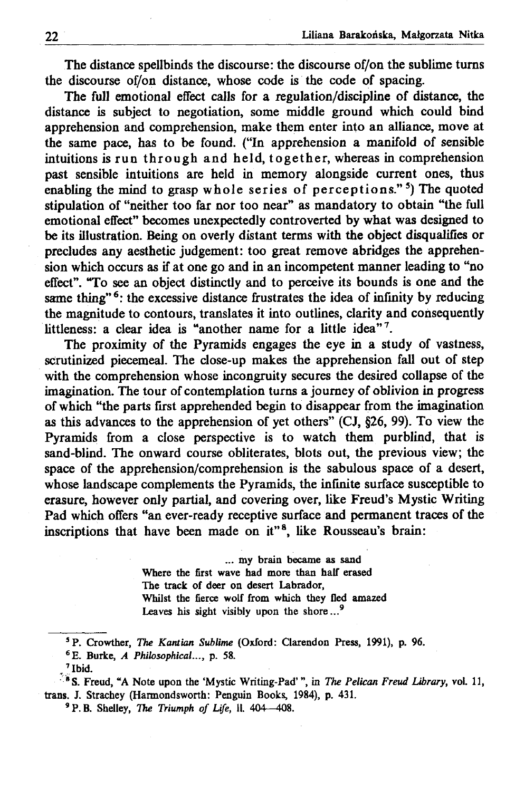The distance spellbinds the discourse: the discourse of/on the sublime turns the discourse of/on distance, whose code is the code of spacing.

The full emotional effect calls for a regulation/discipline of distance, the distance is subject to negotiation, some middle ground which could bind apprehension and comprehension, make them enter into an alliance, move at the same pace, has to be found. ("In apprehension a manifold of sensible intuitions is run through and held, together, whereas in comprehension past sensible intuitions are held in memory alongside current ones, thus enabling the mind to grasp whole series of perceptions."<sup>5</sup>) The quoted stipulation of "neither too far nor too near" as mandatory to obtain "the full emotional effect" becomes unexpectedly controverted by what was designed to be its illustration. Being on overly distant terms with the object disqualifies or precludes any aesthetic judgement: too great remove abridges the apprehension which occurs as if at one go and in an incompetent manner leading to "no effect". "To see an object distinctly and to perceive its bounds is one and the same thing"<sup>6</sup>: the excessive distance frustrates the idea of infinity by reducing the magnitude to contours, translates it into outlines, clarity and consequently littleness: a clear idea is "another name for a little idea"<sup>7</sup>.

The proximity of the Pyramids engages the eye in a study of vastness, scrutinized piecemeal. The close-up makes the apprehension fall out of step with the comprehension whose incongruity secures the desired collapse of the imagination. The tour of contemplation turns a journey of oblivion in progress of which "the parts first apprehended begin to disappear from the imagination as this advances to the apprehension of yet others" (CJ, §26, 99). To view the Pyramids from a close perspective is to watch them purblind, that is sand-blind. The onward course obliterates, blots out, the previous view; the space of the apprehension/comprehension is the sabulous space of a desert, whose landscape complements the Pyramids, the infinite surface susceptible to erasure, however only partial, and covering over, like Freud's Mystic Writing Pad which offers "an ever-ready receptive surface and permanent traces of the inscriptions that have been made on it"<sup>8</sup>, like Rousseau's brain:

> ... my brain became as sand Where the first wave had more than half erased The track of deer on desert Labrador, Whilst the fierce wolf from which they fled amazed Leaves his sight visibly upon the shore...<sup>9</sup>

®S. Freud, "A Note upon the 'Mystic Writing-Pad' ", in *The Pelican Freud Library,* vol. 11, trans. J. Strachey (Harmondsworth: Penguin Books, 1984), p. 431.

<sup>9</sup> P. B. Shelley, *The Triumph of Life*, *ll.* 404 - 408.

<sup>5</sup> P. Crowther, *The Kantian Sublime* (Oxford: Clarendon Press, 1991), p. 96.

<sup>6</sup>E. Burke, *A Philosophical...,* p. 58.

<sup>. 7</sup> Ibid.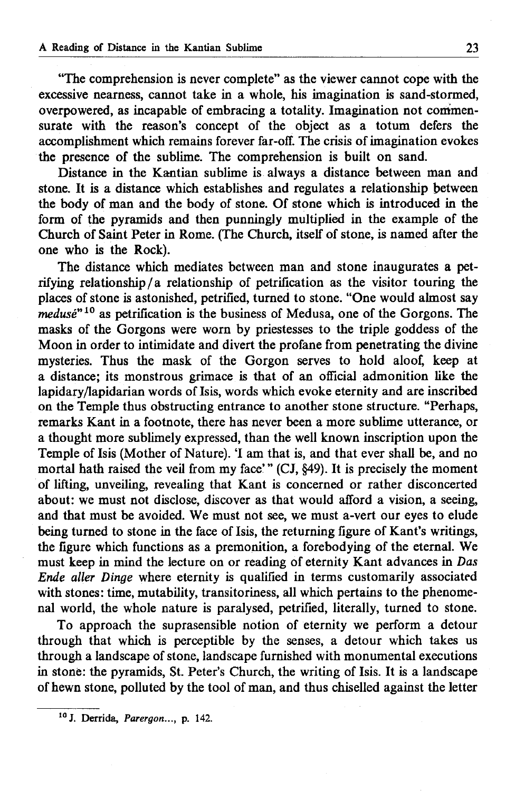"The comprehension is never complete" as the viewer cannot cope with the excessive nearness, cannot take in a whole, his imagination is sand-stormed, overpowered, as incapable of embracing a totality. Imagination not commensurate with the reason's concept of the object as a totum defers the accomplishment which remains forever far-off. The crisis of imagination evokes the presence of the sublime. The comprehension is built on sand.

Distance in the Kantian sublime is always a distance between man and stone. It is a distance which establishes and regulates a relationship between the body of man and the body of stone. Of stone which is introduced in the form of the pyramids and then punningly multiplied in the example of the Church of Saint Peter in Rome. (The Church, itself of stone, is named after the one who is the Rock).

The distance which mediates between man and stone inaugurates a petrifying relationship/a relationship of petrification as the visitor touring the places of stone is astonished, petrified, turned to stone. "One would almost say *medusé*"10 as petrification is the business of Medusa, one of the Gorgons. The masks of the Gorgons were worn by priestesses to the triple goddess of the Moon in order to intimidate and divert the profane from penetrating the divine mysteries. Thus the mask of the Gorgon serves to hold aloof, keep at a distance; its monstrous grimace is that of an official admonition like the lapidary/lapidarian words of Isis, words which evoke eternity and are inscribed on the Temple thus obstructing entrance to another stone structure. "Perhaps, remarks Kant in a footnote, there has never been a more sublime utterance, or a thought more sublimely expressed, than the well known inscription upon the Temple of Isis (Mother of Nature). 'I am that is, and that ever shall be, and no mortal hath raised the veil from my face' " (CJ, §49). It is precisely the moment of lifting, unveiling, revealing that Kant is concerned or rather disconcerted about: we must not disclose, discover as that would afford a vision, a seeing, and that must be avoided. We must not see, we must a-vert our eyes to elude being turned to stone in the face of Isis, the returning figure of Kant's writings, the figure which functions as a premonition, a forebodying of the eternal. We must keep in mind the lecture on or reading of eternity Kant advances in *Das Ende aller Dinge* where eternity is qualified in terms customarily associated with stones: time, mutability, transitoriness, all which pertains to the phenomenal world, the whole nature is paralysed, petrified, literally, turned to stone.

To approach the suprasensible notion of eternity we perform a detour through that which is perceptible by the senses, a detour which takes us through a landscape of stone, landscape furnished with monumental executions in stone: the pyramids, St. Peter's Church, the writing of Isis. It is a landscape of hewn stone, polluted by the tool of man, and thus chiselled against the letter

<sup>10</sup> J. Derrida, *Parergon...,* p. 142.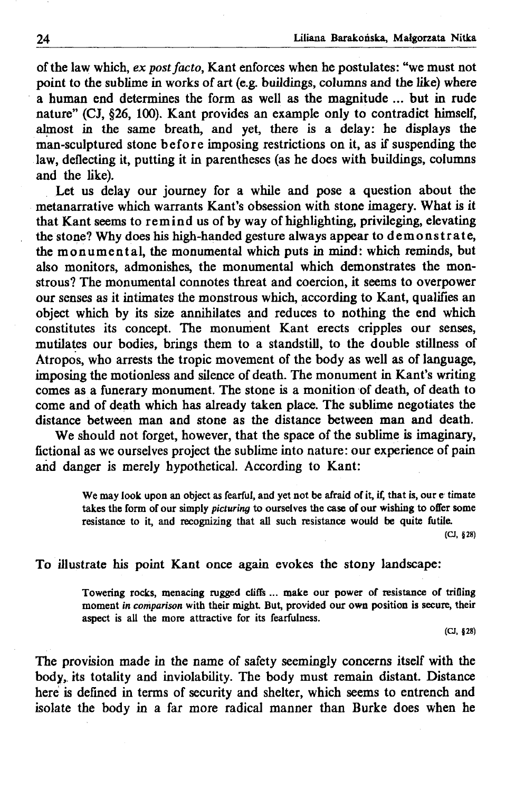of the law which, *ex post facto,* Kant enforces when he postulates: "we must not point to the sublime in works of art (e.g. buildings, columns and the like) where a human end determines the form as well as the magnitude ... but in rude nature" (CJ, §26, 100). Kant provides an example only to contradict himself, almost in the same breath, and yet, there is a delay: he displays the man-sculptured stone before imposing restrictions on it, as if suspending the law, deflecting it, putting it in parentheses (as he does with buildings, columns and the like).

Let us delay our journey for a while and pose a question about the metanarrative which warrants Kant's obsession with stone imagery. What is it that Kant seems to remind us of by way of highlighting, privileging, elevating the stone? Why does his high-handed gesture always appear to demonstrate, the monumental, the monumental which puts in mind: which reminds, but also monitors, admonishes, the monumental which demonstrates the monstrous? The monumental connotes threat and coercion, it seems to overpower our senses as it intimates the monstrous which, according to Kant, qualifies an object which by its size annihilates and reduces to nothing the end which constitutes its concept. The monument Kant erects cripples our senses, mutilates our bodies, brings them to a standstill, to the double stillness of Atropos, who arrests the tropic movement of the body as well as of language, imposing the motionless and silence of death. The monument in Kant's writing comes as a funerary monument. The stone is a monition of death, of death to come and of death which has already taken place. The sublime negotiates the distance between man and stone as the distance between man and death.

We should not forget, however, that the space of the sublime is imaginary, fictional as we ourselves project the sublime into nature: our experience of pain and danger is merely hypothetical. According to Kant:

> We may look upon an object as fearful, and yet not be afraid of it, if, that is, our e timate takes the form of our simply *picturing* to ourselves the case of our wishing to offer some resistance to it, and recognizing that all such resistance would be quite futile.

> > (CJ, §28)

## To illustrate his point Kant once again evokes the stony landscape:

Towering rocks, menacing rugged cliffs ... make our power of resistance of trifling moment *in comparison* with their might But, provided our own position is secure, their aspect is all the more attractive for its fearfulness.

(CJ, §28)

The provision made in the name of safety seemingly concerns itself with the body, its totality and inviolability. The body must remain distant. Distance here is defined in terms of security and shelter, which seems to entrench and isolate the body in a far more radical manner than Burke does when he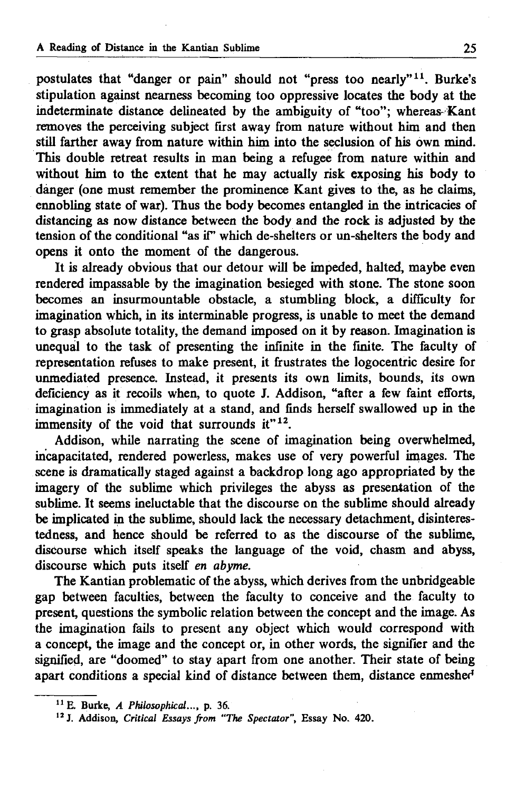postulates that "danger or pain" should not "press too nearly"<sup>11</sup>. Burke's stipulation against nearness becoming too oppressive locates the body at the indeterminate distance delineated by the ambiguity of "too"; whereas-Kant removes the perceiving subject first away from nature without him and then still farther away from nature within him into the seclusion of his own mind. This double retreat results in man being a refugee from nature within and without him to the extent that he may actually risk exposing his body to danger (one must remember the prominence Kant gives to the, as he claims, ennobling state of war). Thus the body becomes entangled in the intricacies of distancing as now distance between the body and the rock is adjusted by the tension of the conditional "as if' which de-shelters or un-shelters the body and opens it onto the moment of the dangerous.

It is already obvious that our detour will be impeded, halted, maybe even rendered impassable by the imagination besieged with stone. The stone soon becomes an insurmountable obstacle, a stumbling block, a difficulty for imagination which, in its interminable progress, is unable to meet the demand to grasp absolute totality, the demand imposed on it by reason. Imagination is unequal to the task of presenting the infinite in the finite. The faculty of representation refuses to make present, it frustrates the logocentric desire for unmediated presence. Instead, it presents its own limits, bounds, its own deficiency as it recoils when, to quote J. Addison, "after a few faint efforts, imagination is immediately at a stand, and finds herself swallowed up in the immensity of the void that surrounds it" $12$ .

Addison, while narrating the scene of imagination being overwhelmed, incapacitated, rendered powerless, makes use of very powerful images. The scene is dramatically staged against a backdrop long ago appropriated by the imagery of the sublime which privileges the abyss as presentation of the sublime. It seems ineluctable that the discourse on the sublime should already be implicated in the sublime, should lack the necessary detachment, disinterestedness, and hence should be referred to as the discourse of the sublime, discourse which itself speaks the language of the void, chasm and abyss, discourse which puts itself *en abyme.*

The Kantian problematic of the abyss, which derives from the unbridgeable gap between faculties, between the faculty to conceive and the faculty to present, questions the symbolic relation between the concept and the image. As the imagination fails to present any object which would correspond with a concept, the image and the concept or, in other words, the signifier and the signified, are "doomed" to stay apart from one another. Their state of being apart conditions a special kind of distance between them, distance enmeshed

<sup>11</sup> E. Burke, *A Philosophical...,* p. 36.

*<sup>12</sup> J.* Addison, *Critical Essays from "The Spectator",* Essay No. 420.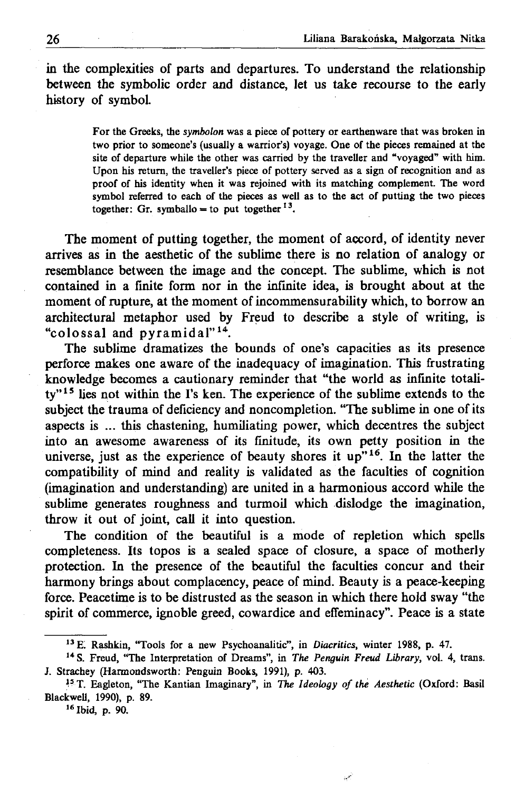in the complexities of parts and departures. To understand the relationship between the symbolic order and distance, let us take recourse to the early history of symbol.

> For the Greeks, the *symbolon* was a piece of pottery or earthenware that was broken in two prior to someone's (usually a warrior's) voyage. One of the pieces remained at the site of departure while the other was carried by the traveller and "voyaged" with him. Upon his return, the traveller's piece of pottery served as a sign of recognition and as proof of his identity when it was rejoined with its matching complement. The word symbol referred to each of the pieces as well as to the act of putting the two pieces together: Gr. symballo = to put together<sup>13</sup>.

The moment of putting together, the moment of accord, of identity never arrives as in the aesthetic of the sublime there is no relation of analogy or resemblance between the image and the concept. The sublime, which is not contained in a finite form nor in the infinite idea, is brought about at the moment of rupture, at the moment of incommensurability which, to borrow an architectural metaphor used by Freud to describe a style of writing, is "colossal and  $\bar{p}y$ ramidal"<sup>14</sup>.

The sublime dramatizes the bounds of one's capacities as its presence perforce makes one aware of the inadequacy of imagination. This frustrating knowledge becomes a cautionary reminder that "the world as infinite totality"<sup>15</sup> lies not within the I's ken. The experience of the sublime extends to the subject the trauma of deficiency and noncompletion. "The sublime in one of its aspects is ... this chastening, humiliating power, which decentres the subject into an awesome awareness of its finitude, its own petty position in the universe, just as the experience of beauty shores it up"<sup>16</sup>. In the latter the compatibility of mind and reality is validated as the faculties of cognition (imagination and understanding) are united in a harmonious accord while the sublime generates roughness and turmoil which dislodge the imagination, throw it out of joint, call it into question.

The condition of the beautiful is a mode of repletion which spells completeness. Its topos is a sealed space of closure, a space of motherly protection. In the presence of the beautiful the faculties concur and their harmony brings about complacency, peace of mind. Beauty is a peace-keeping force. Peacetime is to be distrusted as the season in which there hold sway "the spirit of commerce, ignoble greed, cowardice and effeminacy". Peace is a state

16 Ibid, p. 90.

<sup>13</sup> E! Rashkin, "Tools for a new Psychoanalitic", in *Diacritics,* winter 1988, p. 47.

<sup>14</sup> S. Freud, "The Interpretation of Dreams", in *The Penguin Freud Library,* vol. 4, trans. J. Strachey (Harmondsworth: Penguin Books, 1991), p. 403.

<sup>&</sup>lt;sup>15</sup> T. Eagleton, "The Kantian Imaginary", in *The Ideology of the Aesthetic* (Oxford: Basil Blackwell, 1990), p. 89.